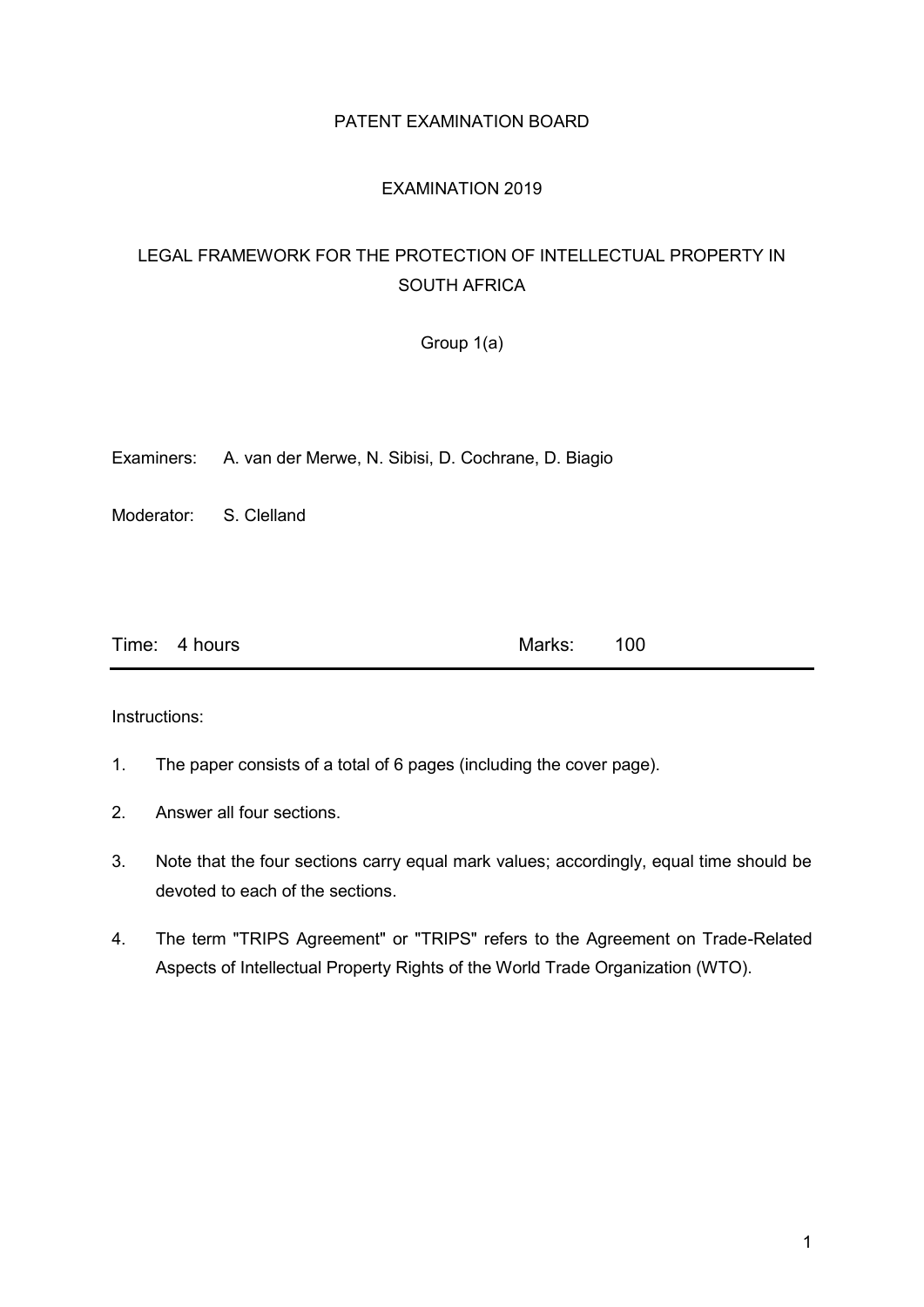### PATENT EXAMINATION BOARD

### EXAMINATION 2019

### LEGAL FRAMEWORK FOR THE PROTECTION OF INTELLECTUAL PROPERTY IN SOUTH AFRICA

Group 1(a)

Examiners: A. van der Merwe, N. Sibisi, D. Cochrane, D. Biagio

Moderator: S. Clelland

| Time: 4 hours<br>Marks: 100 |
|-----------------------------|
|-----------------------------|

Instructions:

- 1. The paper consists of a total of 6 pages (including the cover page).
- 2. Answer all four sections.
- 3. Note that the four sections carry equal mark values; accordingly, equal time should be devoted to each of the sections.
- 4. The term "TRIPS Agreement" or "TRIPS" refers to the Agreement on Trade-Related Aspects of Intellectual Property Rights of the World Trade Organization (WTO).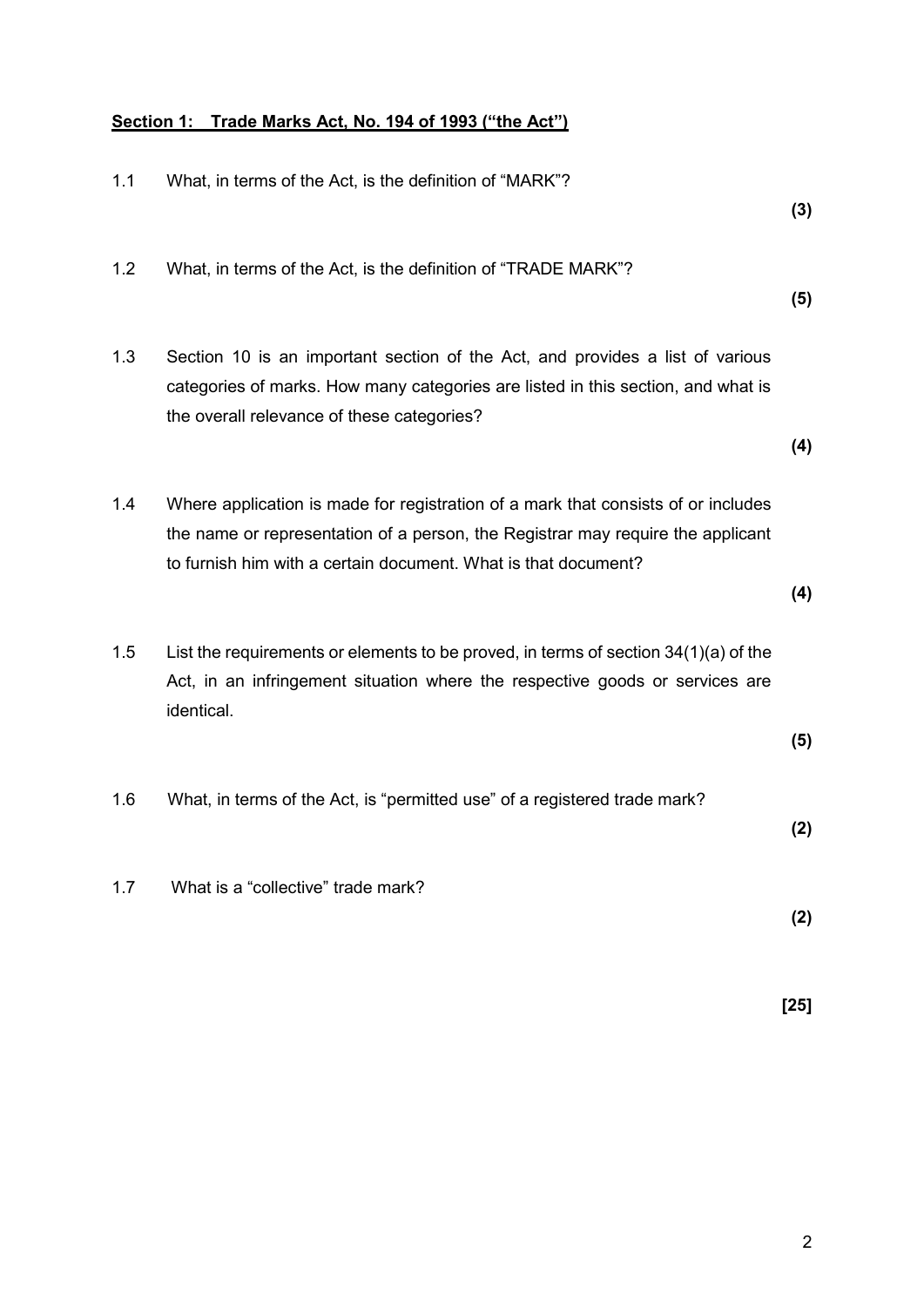# **Section 1: Trade Marks Act, No. 194 of 1993 ("the Act")**

| 1.1 | What, in terms of the Act, is the definition of "MARK"?                                                                                                                                                                                | (3)    |
|-----|----------------------------------------------------------------------------------------------------------------------------------------------------------------------------------------------------------------------------------------|--------|
| 1.2 | What, in terms of the Act, is the definition of "TRADE MARK"?                                                                                                                                                                          | (5)    |
| 1.3 | Section 10 is an important section of the Act, and provides a list of various<br>categories of marks. How many categories are listed in this section, and what is<br>the overall relevance of these categories?                        | (4)    |
| 1.4 | Where application is made for registration of a mark that consists of or includes<br>the name or representation of a person, the Registrar may require the applicant<br>to furnish him with a certain document. What is that document? | (4)    |
| 1.5 | List the requirements or elements to be proved, in terms of section $34(1)(a)$ of the<br>Act, in an infringement situation where the respective goods or services are<br>identical.                                                    | (5)    |
| 1.6 | What, in terms of the Act, is "permitted use" of a registered trade mark?                                                                                                                                                              | (2)    |
| 1.7 | What is a "collective" trade mark?                                                                                                                                                                                                     | (2)    |
|     |                                                                                                                                                                                                                                        | $[25]$ |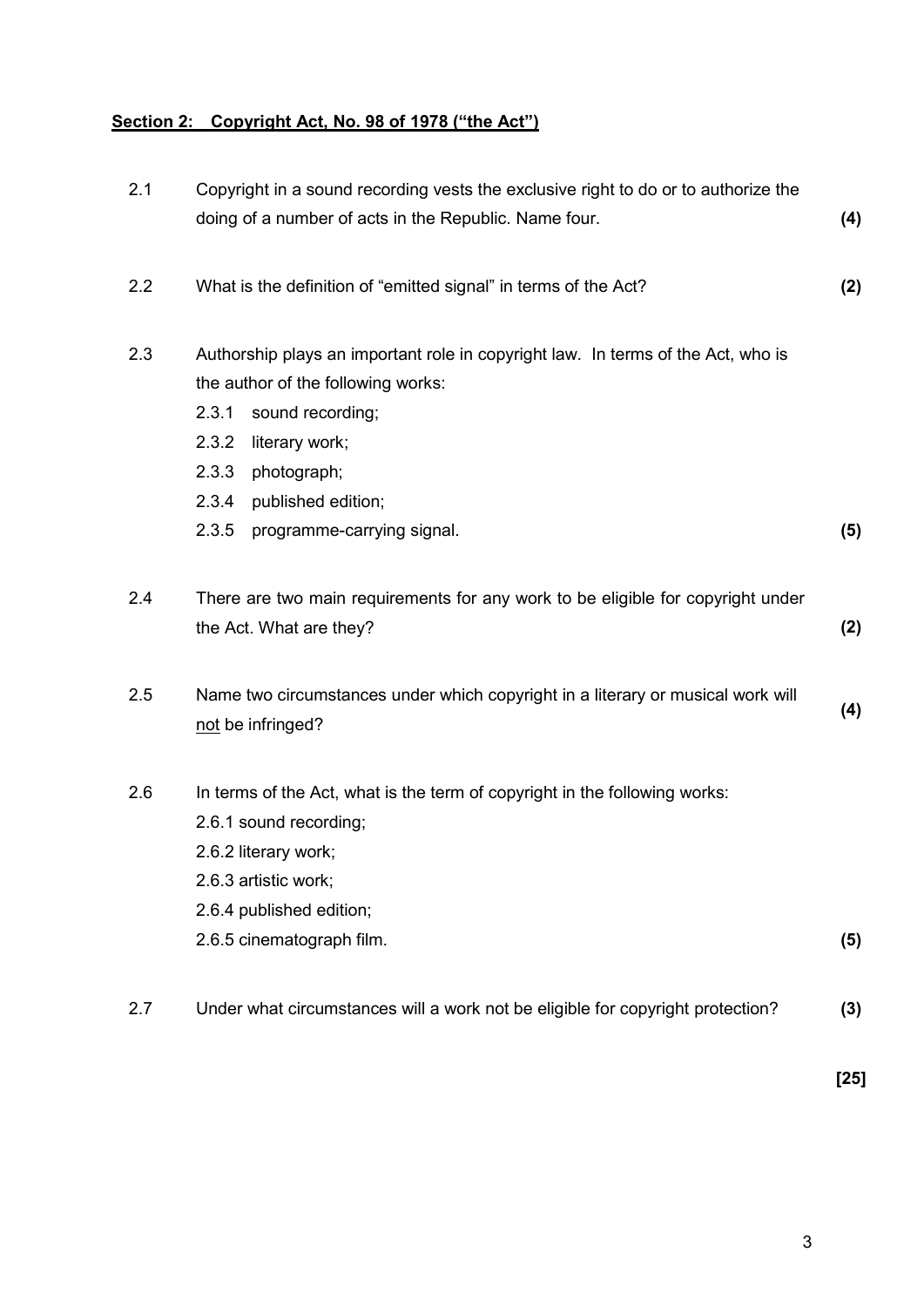# **Section 2: Copyright Act, No. 98 of 1978 ("the Act")**

| 2.1 | Copyright in a sound recording vests the exclusive right to do or to authorize the<br>doing of a number of acts in the Republic. Name four.                                                                                                                                  | (4) |
|-----|------------------------------------------------------------------------------------------------------------------------------------------------------------------------------------------------------------------------------------------------------------------------------|-----|
| 2.2 | What is the definition of "emitted signal" in terms of the Act?                                                                                                                                                                                                              | (2) |
| 2.3 | Authorship plays an important role in copyright law. In terms of the Act, who is<br>the author of the following works:<br>2.3.1<br>sound recording;<br>2.3.2<br>literary work;<br>2.3.3<br>photograph;<br>2.3.4<br>published edition;<br>2.3.5<br>programme-carrying signal. | (5) |
| 2.4 | There are two main requirements for any work to be eligible for copyright under<br>the Act. What are they?                                                                                                                                                                   | (2) |
| 2.5 | Name two circumstances under which copyright in a literary or musical work will<br>not be infringed?                                                                                                                                                                         | (4) |
| 2.6 | In terms of the Act, what is the term of copyright in the following works:<br>2.6.1 sound recording;<br>2.6.2 literary work;<br>2.6.3 artistic work;<br>2.6.4 published edition;<br>2.6.5 cinematograph film.                                                                | (5) |
| 2.7 | Under what circumstances will a work not be eligible for copyright protection?                                                                                                                                                                                               | (3) |

**[25]**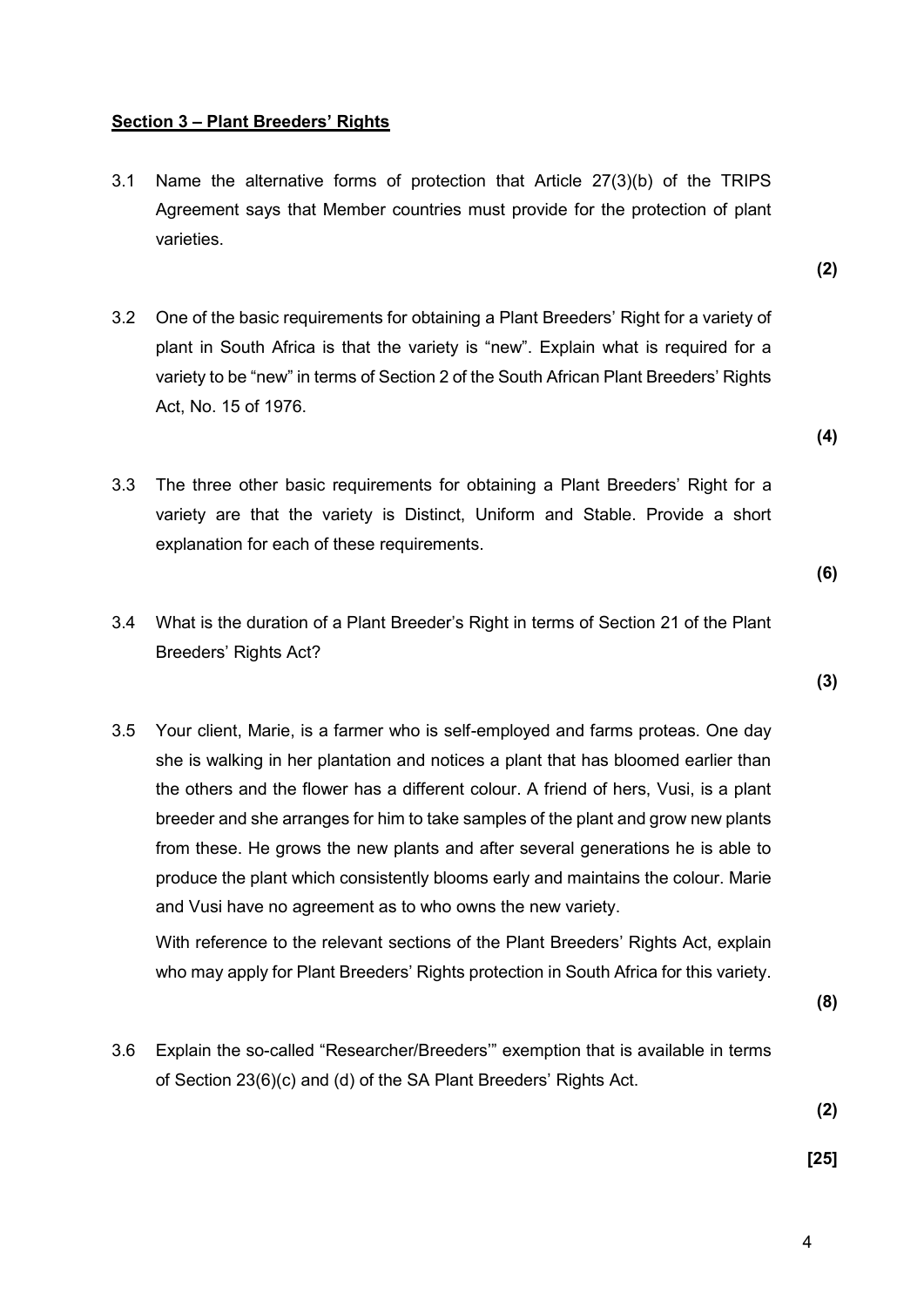#### **Section 3 – Plant Breeders' Rights**

Breeders' Rights Act?

- 3.1 Name the alternative forms of protection that Article 27(3)(b) of the TRIPS Agreement says that Member countries must provide for the protection of plant varieties.
- 3.2 One of the basic requirements for obtaining a Plant Breeders' Right for a variety of plant in South Africa is that the variety is "new". Explain what is required for a variety to be "new" in terms of Section 2 of the South African Plant Breeders' Rights Act, No. 15 of 1976.
- 3.3 The three other basic requirements for obtaining a Plant Breeders' Right for a variety are that the variety is Distinct, Uniform and Stable. Provide a short explanation for each of these requirements.
- 3.4 What is the duration of a Plant Breeder's Right in terms of Section 21 of the Plant
- 3.5 Your client, Marie, is a farmer who is self-employed and farms proteas. One day she is walking in her plantation and notices a plant that has bloomed earlier than the others and the flower has a different colour. A friend of hers, Vusi, is a plant breeder and she arranges for him to take samples of the plant and grow new plants from these. He grows the new plants and after several generations he is able to produce the plant which consistently blooms early and maintains the colour. Marie and Vusi have no agreement as to who owns the new variety.

With reference to the relevant sections of the Plant Breeders' Rights Act, explain who may apply for Plant Breeders' Rights protection in South Africa for this variety.

3.6 Explain the so-called "Researcher/Breeders'" exemption that is available in terms of Section 23(6)(c) and (d) of the SA Plant Breeders' Rights Act.

**(2)**

**(8)**

**[25]**

**(4)**

**(2)**

**(3)**

**(6)**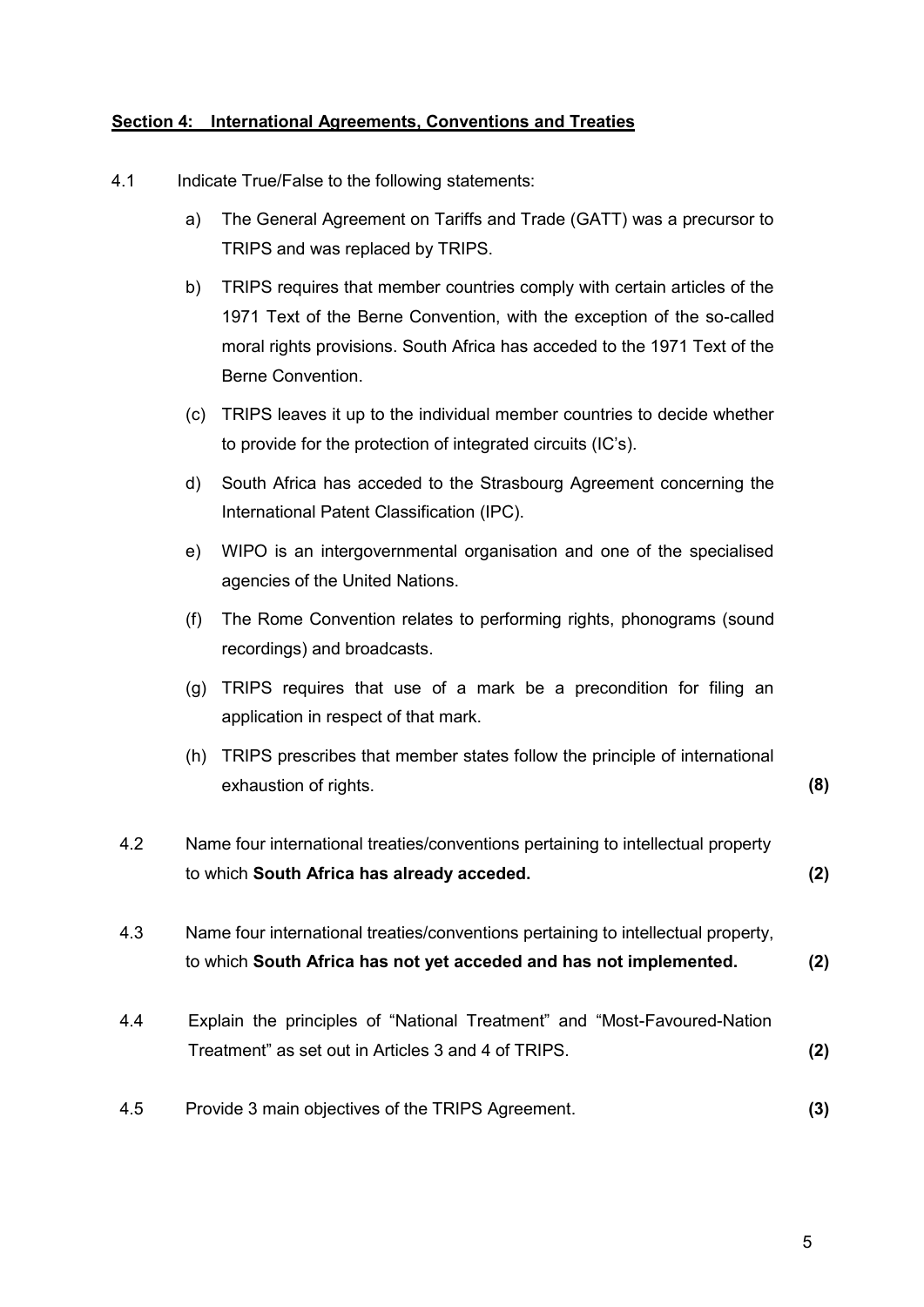### **Section 4: International Agreements, Conventions and Treaties**

- 4.1 Indicate True/False to the following statements:
	- a) The General Agreement on Tariffs and Trade (GATT) was a precursor to TRIPS and was replaced by TRIPS.
	- b) TRIPS requires that member countries comply with certain articles of the 1971 Text of the Berne Convention, with the exception of the so-called moral rights provisions. South Africa has acceded to the 1971 Text of the Berne Convention.
	- (c) TRIPS leaves it up to the individual member countries to decide whether to provide for the protection of integrated circuits (IC's).
	- d) South Africa has acceded to the Strasbourg Agreement concerning the International Patent Classification (IPC).
	- e) WIPO is an intergovernmental organisation and one of the specialised agencies of the United Nations.
	- (f) The Rome Convention relates to performing rights, phonograms (sound recordings) and broadcasts.
	- (g) TRIPS requires that use of a mark be a precondition for filing an application in respect of that mark.
	- (h) TRIPS prescribes that member states follow the principle of international exhaustion of rights. **(8)**
- 4.2 Name four international treaties/conventions pertaining to intellectual property to which **South Africa has already acceded. (2)**
- 4.3 Name four international treaties/conventions pertaining to intellectual property, to which **South Africa has not yet acceded and has not implemented. (2)**
- 4.4 Explain the principles of "National Treatment" and "Most-Favoured-Nation Treatment" as set out in Articles 3 and 4 of TRIPS. **(2)**
- 4.5 Provide 3 main objectives of the TRIPS Agreement. **(3)**